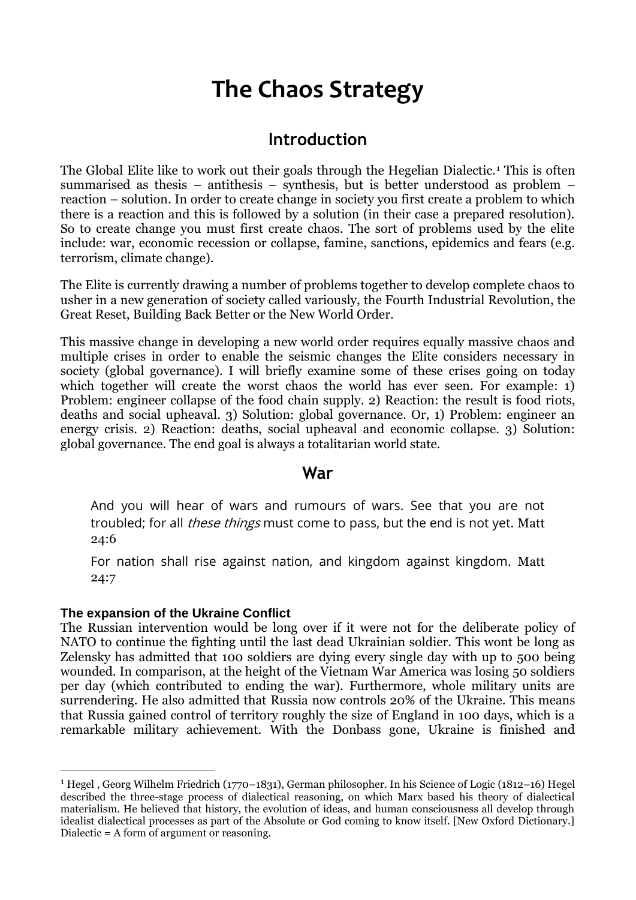# **The Chaos Strategy**

### **Introduction**

The Global Elite like to work out their goals through the Hegelian Dialectic.<sup>1</sup> This is often summarised as thesis – antithesis – synthesis, but is better understood as problem – reaction – solution. In order to create change in society you first create a problem to which there is a reaction and this is followed by a solution (in their case a prepared resolution). So to create change you must first create chaos. The sort of problems used by the elite include: war, economic recession or collapse, famine, sanctions, epidemics and fears (e.g. terrorism, climate change).

The Elite is currently drawing a number of problems together to develop complete chaos to usher in a new generation of society called variously, the Fourth Industrial Revolution, the Great Reset, Building Back Better or the New World Order.

This massive change in developing a new world order requires equally massive chaos and multiple crises in order to enable the seismic changes the Elite considers necessary in society (global governance). I will briefly examine some of these crises going on today which together will create the worst chaos the world has ever seen. For example: 1) Problem: engineer collapse of the food chain supply. 2) Reaction: the result is food riots, deaths and social upheaval. 3) Solution: global governance. Or, 1) Problem: engineer an energy crisis. 2) Reaction: deaths, social upheaval and economic collapse. 3) Solution: global governance. The end goal is always a totalitarian world state.

### **War**

And you will hear of wars and rumours of wars. See that you are not troubled; for all *these things* must come to pass, but the end is not yet. Matt 24:6

For nation shall rise against nation, and kingdom against kingdom. Matt 24:7

#### **The expansion of the Ukraine Conflict**

-

The Russian intervention would be long over if it were not for the deliberate policy of NATO to continue the fighting until the last dead Ukrainian soldier. This wont be long as Zelensky has admitted that 100 soldiers are dying every single day with up to 500 being wounded. In comparison, at the height of the Vietnam War America was losing 50 soldiers per day (which contributed to ending the war). Furthermore, whole military units are surrendering. He also admitted that Russia now controls 20% of the Ukraine. This means that Russia gained control of territory roughly the size of England in 100 days, which is a remarkable military achievement. With the Donbass gone, Ukraine is finished and

<sup>1</sup> Hegel , Georg Wilhelm Friedrich (1770–1831), German philosopher. In his Science of Logic (1812–16) Hegel described the three-stage process of dialectical reasoning, on which Marx based his theory of dialectical materialism. He believed that history, the evolution of ideas, and human consciousness all develop through idealist dialectical processes as part of the Absolute or God coming to know itself. [New Oxford Dictionary.] Dialectic = A form of argument or reasoning.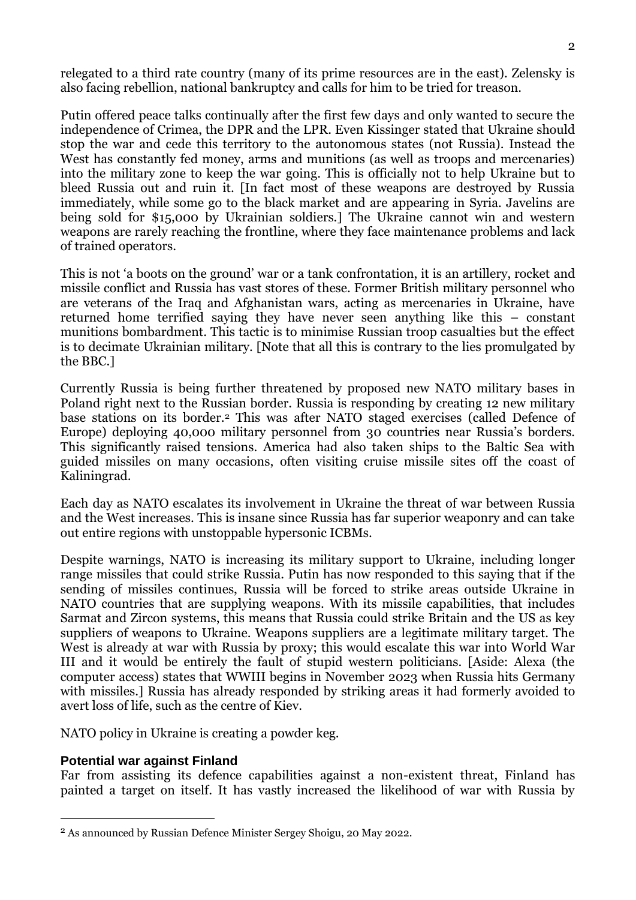relegated to a third rate country (many of its prime resources are in the east). Zelensky is also facing rebellion, national bankruptcy and calls for him to be tried for treason.

Putin offered peace talks continually after the first few days and only wanted to secure the independence of Crimea, the DPR and the LPR. Even Kissinger stated that Ukraine should stop the war and cede this territory to the autonomous states (not Russia). Instead the West has constantly fed money, arms and munitions (as well as troops and mercenaries) into the military zone to keep the war going. This is officially not to help Ukraine but to bleed Russia out and ruin it. [In fact most of these weapons are destroyed by Russia immediately, while some go to the black market and are appearing in Syria. Javelins are being sold for \$15,000 by Ukrainian soldiers.] The Ukraine cannot win and western weapons are rarely reaching the frontline, where they face maintenance problems and lack of trained operators.

This is not 'a boots on the ground' war or a tank confrontation, it is an artillery, rocket and missile conflict and Russia has vast stores of these. Former British military personnel who are veterans of the Iraq and Afghanistan wars, acting as mercenaries in Ukraine, have returned home terrified saying they have never seen anything like this – constant munitions bombardment. This tactic is to minimise Russian troop casualties but the effect is to decimate Ukrainian military. [Note that all this is contrary to the lies promulgated by the BBC.]

Currently Russia is being further threatened by proposed new NATO military bases in Poland right next to the Russian border. Russia is responding by creating 12 new military base stations on its border.<sup>2</sup> This was after NATO staged exercises (called Defence of Europe) deploying 40,000 military personnel from 30 countries near Russia's borders. This significantly raised tensions. America had also taken ships to the Baltic Sea with guided missiles on many occasions, often visiting cruise missile sites off the coast of Kaliningrad.

Each day as NATO escalates its involvement in Ukraine the threat of war between Russia and the West increases. This is insane since Russia has far superior weaponry and can take out entire regions with unstoppable hypersonic ICBMs.

Despite warnings, NATO is increasing its military support to Ukraine, including longer range missiles that could strike Russia. Putin has now responded to this saying that if the sending of missiles continues, Russia will be forced to strike areas outside Ukraine in NATO countries that are supplying weapons. With its missile capabilities, that includes Sarmat and Zircon systems, this means that Russia could strike Britain and the US as key suppliers of weapons to Ukraine. Weapons suppliers are a legitimate military target. The West is already at war with Russia by proxy; this would escalate this war into World War III and it would be entirely the fault of stupid western politicians. [Aside: Alexa (the computer access) states that WWIII begins in November 2023 when Russia hits Germany with missiles.] Russia has already responded by striking areas it had formerly avoided to avert loss of life, such as the centre of Kiev.

NATO policy in Ukraine is creating a powder keg.

#### **Potential war against Finland**

<u>.</u>

Far from assisting its defence capabilities against a non-existent threat, Finland has painted a target on itself. It has vastly increased the likelihood of war with Russia by

<sup>2</sup> As announced by Russian Defence Minister Sergey Shoigu, 20 May 2022.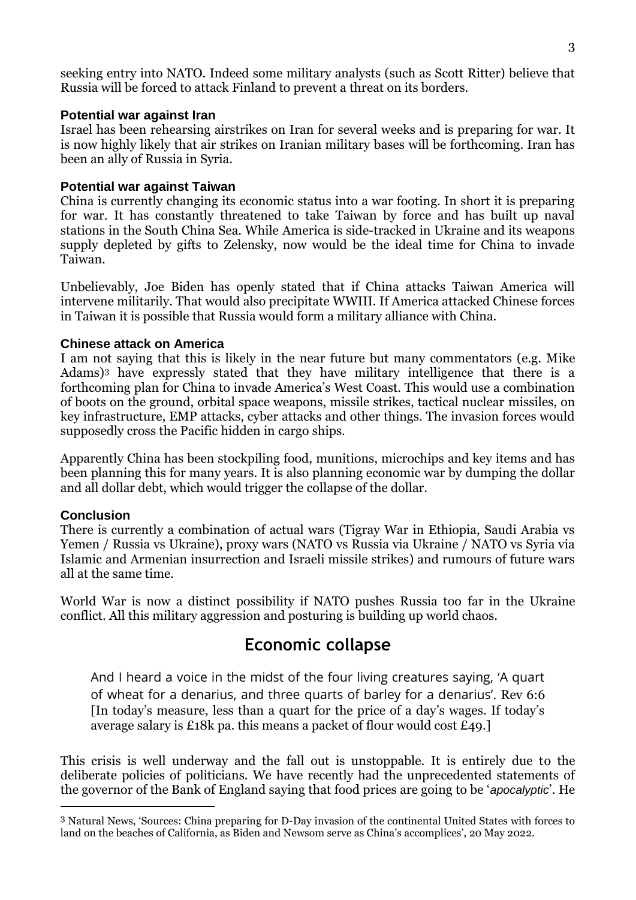seeking entry into NATO. Indeed some military analysts (such as Scott Ritter) believe that Russia will be forced to attack Finland to prevent a threat on its borders.

#### **Potential war against Iran**

Israel has been rehearsing airstrikes on Iran for several weeks and is preparing for war. It is now highly likely that air strikes on Iranian military bases will be forthcoming. Iran has been an ally of Russia in Syria.

#### **Potential war against Taiwan**

China is currently changing its economic status into a war footing. In short it is preparing for war. It has constantly threatened to take Taiwan by force and has built up naval stations in the South China Sea. While America is side-tracked in Ukraine and its weapons supply depleted by gifts to Zelensky, now would be the ideal time for China to invade Taiwan.

Unbelievably, Joe Biden has openly stated that if China attacks Taiwan America will intervene militarily. That would also precipitate WWIII. If America attacked Chinese forces in Taiwan it is possible that Russia would form a military alliance with China.

#### **Chinese attack on America**

I am not saying that this is likely in the near future but many commentators (e.g. Mike Adams)<sup>3</sup> have expressly stated that they have military intelligence that there is a forthcoming plan for China to invade America's West Coast. This would use a combination of boots on the ground, orbital space weapons, missile strikes, tactical nuclear missiles, on key infrastructure, EMP attacks, cyber attacks and other things. The invasion forces would supposedly cross the Pacific hidden in cargo ships.

Apparently China has been stockpiling food, munitions, microchips and key items and has been planning this for many years. It is also planning economic war by dumping the dollar and all dollar debt, which would trigger the collapse of the dollar.

#### **Conclusion**

-

There is currently a combination of actual wars (Tigray War in Ethiopia, Saudi Arabia vs Yemen / Russia vs Ukraine), proxy wars (NATO vs Russia via Ukraine / NATO vs Syria via Islamic and Armenian insurrection and Israeli missile strikes) and rumours of future wars all at the same time.

World War is now a distinct possibility if NATO pushes Russia too far in the Ukraine conflict. All this military aggression and posturing is building up world chaos.

### **Economic collapse**

And I heard a voice in the midst of the four living creatures saying, 'A quart of wheat for a denarius, and three quarts of barley for a denarius'. Rev 6:6 [In today's measure, less than a quart for the price of a day's wages. If today's average salary is £18k pa. this means a packet of flour would cost £49.]

This crisis is well underway and the fall out is unstoppable. It is entirely due to the deliberate policies of politicians. We have recently had the unprecedented statements of the governor of the Bank of England saying that food prices are going to be '*apocalyptic*'. He

<sup>3</sup> Natural News, 'Sources: China preparing for D-Day invasion of the continental United States with forces to land on the beaches of California, as Biden and Newsom serve as China's accomplices', 20 May 2022.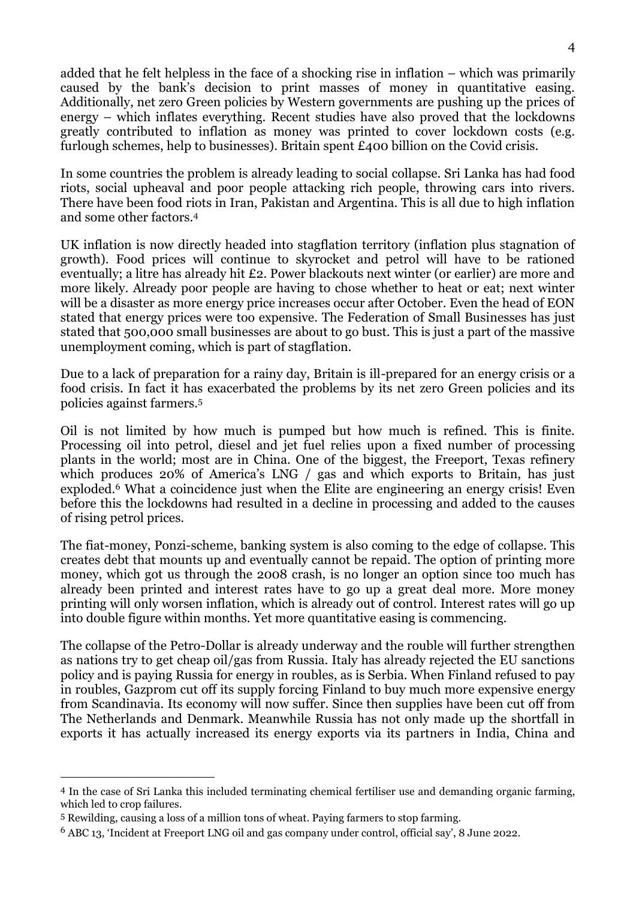added that he felt helpless in the face of a shocking rise in inflation – which was primarily caused by the bank's decision to print masses of money in quantitative easing. Additionally, net zero Green policies by Western governments are pushing up the prices of energy – which inflates everything. Recent studies have also proved that the lockdowns greatly contributed to inflation as money was printed to cover lockdown costs (e.g. furlough schemes, help to businesses). Britain spent £400 billion on the Covid crisis.

In some countries the problem is already leading to social collapse. Sri Lanka has had food riots, social upheaval and poor people attacking rich people, throwing cars into rivers. There have been food riots in Iran, Pakistan and Argentina. This is all due to high inflation and some other factors.<sup>4</sup>

UK inflation is now directly headed into stagflation territory (inflation plus stagnation of growth). Food prices will continue to skyrocket and petrol will have to be rationed eventually; a litre has already hit £2. Power blackouts next winter (or earlier) are more and more likely. Already poor people are having to chose whether to heat or eat; next winter will be a disaster as more energy price increases occur after October. Even the head of EON stated that energy prices were too expensive. The Federation of Small Businesses has just stated that 500,000 small businesses are about to go bust. This is just a part of the massive unemployment coming, which is part of stagflation.

Due to a lack of preparation for a rainy day, Britain is ill-prepared for an energy crisis or a food crisis. In fact it has exacerbated the problems by its net zero Green policies and its policies against farmers.<sup>5</sup>

Oil is not limited by how much is pumped but how much is refined. This is finite. Processing oil into petrol, diesel and jet fuel relies upon a fixed number of processing plants in the world; most are in China. One of the biggest, the Freeport, Texas refinery which produces 20% of America's LNG / gas and which exports to Britain, has just exploded.<sup>6</sup> What a coincidence just when the Elite are engineering an energy crisis! Even before this the lockdowns had resulted in a decline in processing and added to the causes of rising petrol prices.

The fiat-money, Ponzi-scheme, banking system is also coming to the edge of collapse. This creates debt that mounts up and eventually cannot be repaid. The option of printing more money, which got us through the 2008 crash, is no longer an option since too much has already been printed and interest rates have to go up a great deal more. More money printing will only worsen inflation, which is already out of control. Interest rates will go up into double figure within months. Yet more quantitative easing is commencing.

The collapse of the Petro-Dollar is already underway and the rouble will further strengthen as nations try to get cheap oil/gas from Russia. Italy has already rejected the EU sanctions policy and is paying Russia for energy in roubles, as is Serbia. When Finland refused to pay in roubles, Gazprom cut off its supply forcing Finland to buy much more expensive energy from Scandinavia. Its economy will now suffer. Since then supplies have been cut off from The Netherlands and Denmark. Meanwhile Russia has not only made up the shortfall in exports it has actually increased its energy exports via its partners in India, China and

<sup>4</sup> In the case of Sri Lanka this included terminating chemical fertiliser use and demanding organic farming, which led to crop failures.

<sup>5</sup> Rewilding, causing a loss of a million tons of wheat. Paying farmers to stop farming.

<sup>6</sup> ABC 13, 'Incident at Freeport LNG oil and gas company under control, official say', 8 June 2022.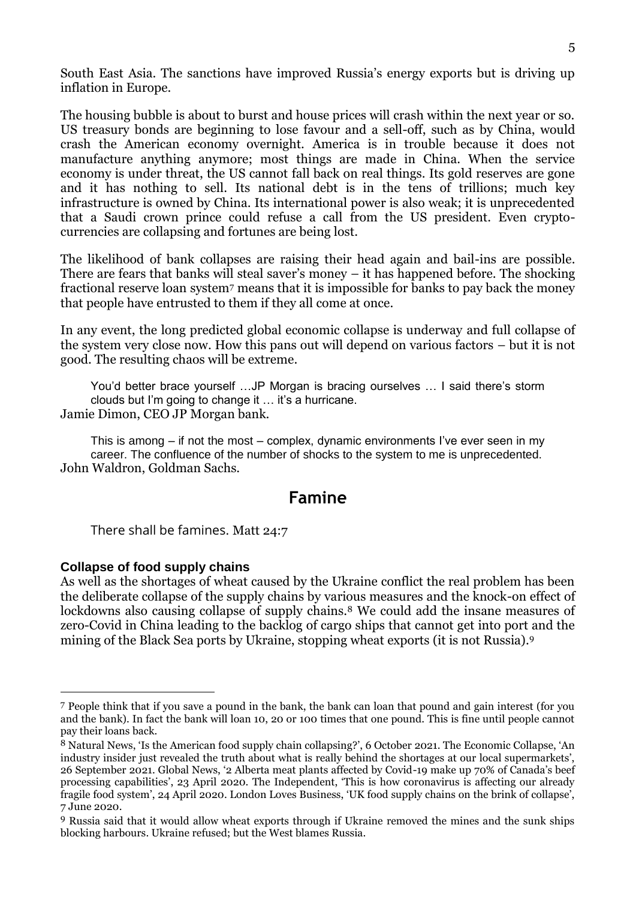South East Asia. The sanctions have improved Russia's energy exports but is driving up inflation in Europe.

The housing bubble is about to burst and house prices will crash within the next year or so. US treasury bonds are beginning to lose favour and a sell-off, such as by China, would crash the American economy overnight. America is in trouble because it does not manufacture anything anymore; most things are made in China. When the service economy is under threat, the US cannot fall back on real things. Its gold reserves are gone and it has nothing to sell. Its national debt is in the tens of trillions; much key infrastructure is owned by China. Its international power is also weak; it is unprecedented that a Saudi crown prince could refuse a call from the US president. Even cryptocurrencies are collapsing and fortunes are being lost.

The likelihood of bank collapses are raising their head again and bail-ins are possible. There are fears that banks will steal saver's money – it has happened before. The shocking fractional reserve loan system<sup>7</sup> means that it is impossible for banks to pay back the money that people have entrusted to them if they all come at once.

In any event, the long predicted global economic collapse is underway and full collapse of the system very close now. How this pans out will depend on various factors – but it is not good. The resulting chaos will be extreme.

You'd better brace yourself …JP Morgan is bracing ourselves … I said there's storm clouds but I'm going to change it … it's a hurricane. Jamie Dimon, CEO JP Morgan bank.

This is among – if not the most – complex, dynamic environments I've ever seen in my career. The confluence of the number of shocks to the system to me is unprecedented. John Waldron, Goldman Sachs.

### **Famine**

There shall be famines. Matt 24:7

#### **Collapse of food supply chains**

-

As well as the shortages of wheat caused by the Ukraine conflict the real problem has been the deliberate collapse of the supply chains by various measures and the knock-on effect of lockdowns also causing collapse of supply chains.<sup>8</sup> We could add the insane measures of zero-Covid in China leading to the backlog of cargo ships that cannot get into port and the mining of the Black Sea ports by Ukraine, stopping wheat exports (it is not Russia).<sup>9</sup>

<sup>7</sup> People think that if you save a pound in the bank, the bank can loan that pound and gain interest (for you and the bank). In fact the bank will loan 10, 20 or 100 times that one pound. This is fine until people cannot pay their loans back.

<sup>8</sup> Natural News, 'Is the American food supply chain collapsing?', 6 October 2021. The Economic Collapse, 'An industry insider just revealed the truth about what is really behind the shortages at our local supermarkets', 26 September 2021. Global News, '2 Alberta meat plants affected by Covid-19 make up 70% of Canada's beef processing capabilities', 23 April 2020. The Independent, 'This is how coronavirus is affecting our already fragile food system', 24 April 2020. London Loves Business, 'UK food supply chains on the brink of collapse', 7 June 2020.

<sup>9</sup> Russia said that it would allow wheat exports through if Ukraine removed the mines and the sunk ships blocking harbours. Ukraine refused; but the West blames Russia.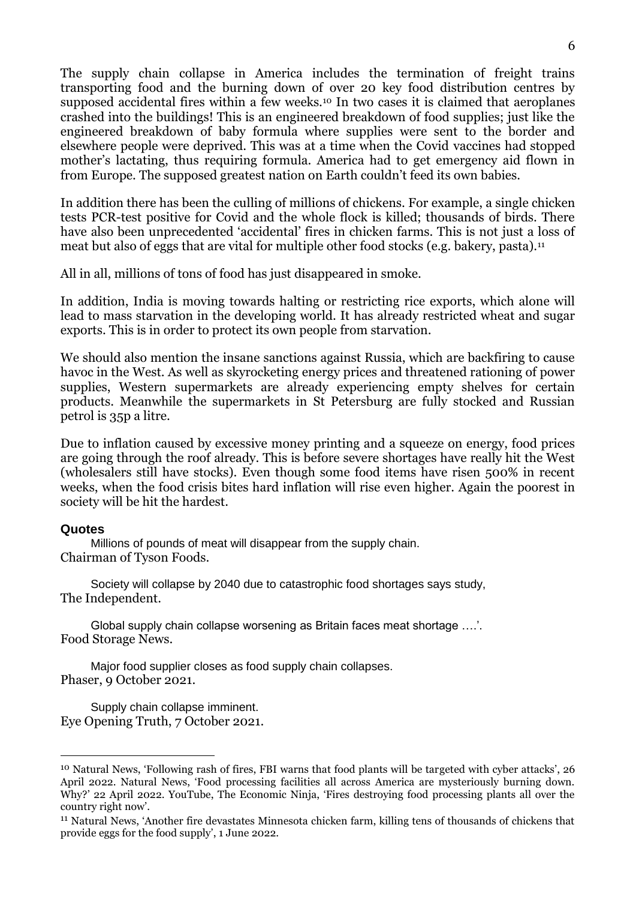The supply chain collapse in America includes the termination of freight trains transporting food and the burning down of over 20 key food distribution centres by supposed accidental fires within a few weeks.<sup>10</sup> In two cases it is claimed that aeroplanes crashed into the buildings! This is an engineered breakdown of food supplies; just like the engineered breakdown of baby formula where supplies were sent to the border and elsewhere people were deprived. This was at a time when the Covid vaccines had stopped mother's lactating, thus requiring formula. America had to get emergency aid flown in from Europe. The supposed greatest nation on Earth couldn't feed its own babies.

In addition there has been the culling of millions of chickens. For example, a single chicken tests PCR-test positive for Covid and the whole flock is killed; thousands of birds. There have also been unprecedented 'accidental' fires in chicken farms. This is not just a loss of meat but also of eggs that are vital for multiple other food stocks (e.g. bakery, pasta).<sup>11</sup>

All in all, millions of tons of food has just disappeared in smoke.

In addition, India is moving towards halting or restricting rice exports, which alone will lead to mass starvation in the developing world. It has already restricted wheat and sugar exports. This is in order to protect its own people from starvation.

We should also mention the insane sanctions against Russia, which are backfiring to cause havoc in the West. As well as skyrocketing energy prices and threatened rationing of power supplies, Western supermarkets are already experiencing empty shelves for certain products. Meanwhile the supermarkets in St Petersburg are fully stocked and Russian petrol is 35p a litre.

Due to inflation caused by excessive money printing and a squeeze on energy, food prices are going through the roof already. This is before severe shortages have really hit the West (wholesalers still have stocks). Even though some food items have risen 500% in recent weeks, when the food crisis bites hard inflation will rise even higher. Again the poorest in society will be hit the hardest.

#### **Quotes**

<u>.</u>

Millions of pounds of meat will disappear from the supply chain. Chairman of Tyson Foods.

Society will collapse by 2040 due to catastrophic food shortages says study, The Independent.

Global supply chain collapse worsening as Britain faces meat shortage ….'. Food Storage News.

Major food supplier closes as food supply chain collapses. Phaser, 9 October 2021.

Supply chain collapse imminent. Eye Opening Truth, 7 October 2021.

<sup>10</sup> Natural News, 'Following rash of fires, FBI warns that food plants will be targeted with cyber attacks', 26 April 2022. Natural News, 'Food processing facilities all across America are mysteriously burning down. Why?' 22 April 2022. YouTube, The Economic Ninja, 'Fires destroying food processing plants all over the country right now'.

<sup>11</sup> Natural News, 'Another fire devastates Minnesota chicken farm, killing tens of thousands of chickens that provide eggs for the food supply', 1 June 2022.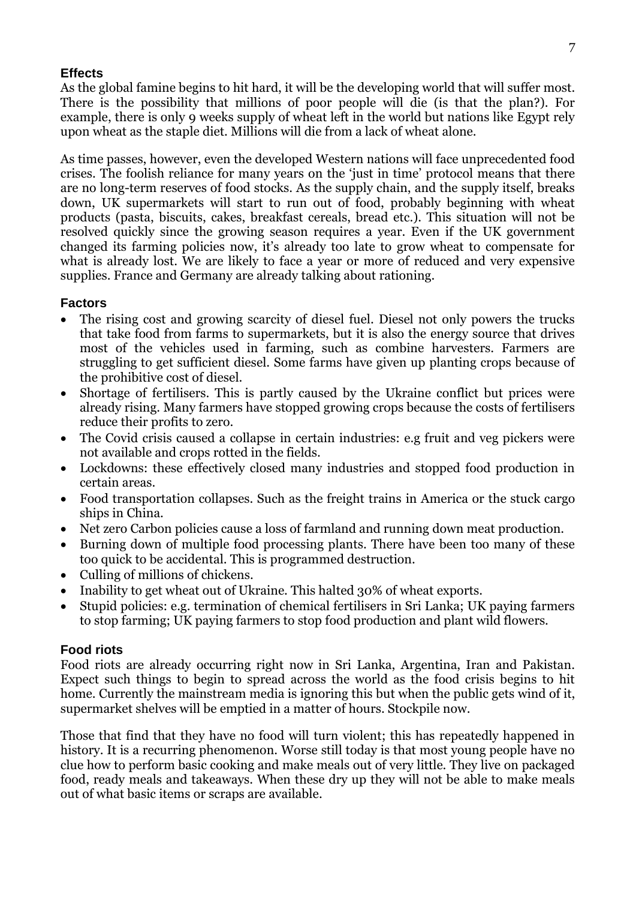### **Effects**

As the global famine begins to hit hard, it will be the developing world that will suffer most. There is the possibility that millions of poor people will die (is that the plan?). For example, there is only 9 weeks supply of wheat left in the world but nations like Egypt rely upon wheat as the staple diet. Millions will die from a lack of wheat alone.

As time passes, however, even the developed Western nations will face unprecedented food crises. The foolish reliance for many years on the 'just in time' protocol means that there are no long-term reserves of food stocks. As the supply chain, and the supply itself, breaks down, UK supermarkets will start to run out of food, probably beginning with wheat products (pasta, biscuits, cakes, breakfast cereals, bread etc.). This situation will not be resolved quickly since the growing season requires a year. Even if the UK government changed its farming policies now, it's already too late to grow wheat to compensate for what is already lost. We are likely to face a year or more of reduced and very expensive supplies. France and Germany are already talking about rationing.

#### **Factors**

- The rising cost and growing scarcity of diesel fuel. Diesel not only powers the trucks that take food from farms to supermarkets, but it is also the energy source that drives most of the vehicles used in farming, such as combine harvesters. Farmers are struggling to get sufficient diesel. Some farms have given up planting crops because of the prohibitive cost of diesel.
- Shortage of fertilisers. This is partly caused by the Ukraine conflict but prices were already rising. Many farmers have stopped growing crops because the costs of fertilisers reduce their profits to zero.
- The Covid crisis caused a collapse in certain industries: e.g fruit and veg pickers were not available and crops rotted in the fields.
- Lockdowns: these effectively closed many industries and stopped food production in certain areas.
- Food transportation collapses. Such as the freight trains in America or the stuck cargo ships in China.
- Net zero Carbon policies cause a loss of farmland and running down meat production.
- Burning down of multiple food processing plants. There have been too many of these too quick to be accidental. This is programmed destruction.
- Culling of millions of chickens.
- Inability to get wheat out of Ukraine. This halted 30% of wheat exports.
- Stupid policies: e.g. termination of chemical fertilisers in Sri Lanka; UK paying farmers to stop farming; UK paying farmers to stop food production and plant wild flowers.

#### **Food riots**

Food riots are already occurring right now in Sri Lanka, Argentina, Iran and Pakistan. Expect such things to begin to spread across the world as the food crisis begins to hit home. Currently the mainstream media is ignoring this but when the public gets wind of it, supermarket shelves will be emptied in a matter of hours. Stockpile now.

Those that find that they have no food will turn violent; this has repeatedly happened in history. It is a recurring phenomenon. Worse still today is that most young people have no clue how to perform basic cooking and make meals out of very little. They live on packaged food, ready meals and takeaways. When these dry up they will not be able to make meals out of what basic items or scraps are available.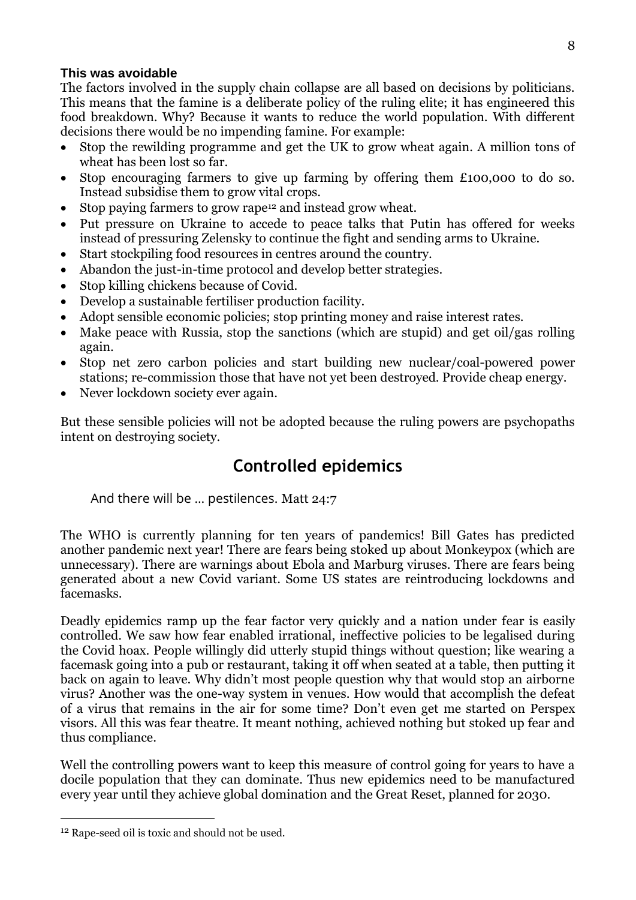### **This was avoidable**

The factors involved in the supply chain collapse are all based on decisions by politicians. This means that the famine is a deliberate policy of the ruling elite; it has engineered this food breakdown. Why? Because it wants to reduce the world population. With different decisions there would be no impending famine. For example:

- Stop the rewilding programme and get the UK to grow wheat again. A million tons of wheat has been lost so far.
- Stop encouraging farmers to give up farming by offering them £100,000 to do so. Instead subsidise them to grow vital crops.
- Stop paying farmers to grow rape<sup>12</sup> and instead grow wheat.
- Put pressure on Ukraine to accede to peace talks that Putin has offered for weeks instead of pressuring Zelensky to continue the fight and sending arms to Ukraine.
- Start stockpiling food resources in centres around the country.
- Abandon the just-in-time protocol and develop better strategies.
- Stop killing chickens because of Covid.
- Develop a sustainable fertiliser production facility.
- Adopt sensible economic policies; stop printing money and raise interest rates.
- Make peace with Russia, stop the sanctions (which are stupid) and get oil/gas rolling again.
- Stop net zero carbon policies and start building new nuclear/coal-powered power stations; re-commission those that have not yet been destroyed. Provide cheap energy.
- Never lockdown society ever again.

But these sensible policies will not be adopted because the ruling powers are psychopaths intent on destroying society.

### **Controlled epidemics**

And there will be … pestilences. Matt 24:7

The WHO is currently planning for ten years of pandemics! Bill Gates has predicted another pandemic next year! There are fears being stoked up about Monkeypox (which are unnecessary). There are warnings about Ebola and Marburg viruses. There are fears being generated about a new Covid variant. Some US states are reintroducing lockdowns and facemasks.

Deadly epidemics ramp up the fear factor very quickly and a nation under fear is easily controlled. We saw how fear enabled irrational, ineffective policies to be legalised during the Covid hoax. People willingly did utterly stupid things without question; like wearing a facemask going into a pub or restaurant, taking it off when seated at a table, then putting it back on again to leave. Why didn't most people question why that would stop an airborne virus? Another was the one-way system in venues. How would that accomplish the defeat of a virus that remains in the air for some time? Don't even get me started on Perspex visors. All this was fear theatre. It meant nothing, achieved nothing but stoked up fear and thus compliance.

Well the controlling powers want to keep this measure of control going for years to have a docile population that they can dominate. Thus new epidemics need to be manufactured every year until they achieve global domination and the Great Reset, planned for 2030.

<sup>12</sup> Rape-seed oil is toxic and should not be used.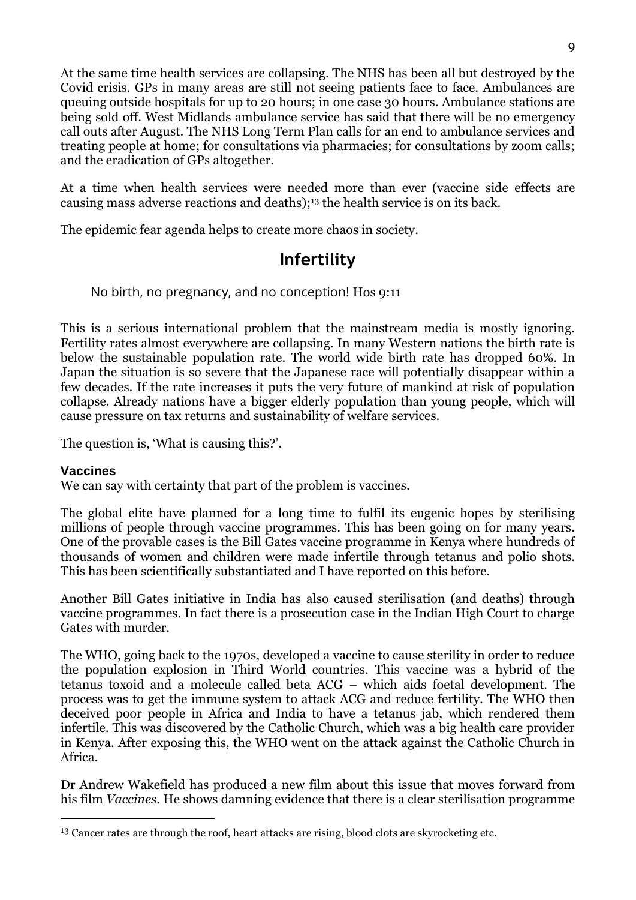At the same time health services are collapsing. The NHS has been all but destroyed by the Covid crisis. GPs in many areas are still not seeing patients face to face. Ambulances are queuing outside hospitals for up to 20 hours; in one case 30 hours. Ambulance stations are being sold off. West Midlands ambulance service has said that there will be no emergency call outs after August. The NHS Long Term Plan calls for an end to ambulance services and treating people at home; for consultations via pharmacies; for consultations by zoom calls; and the eradication of GPs altogether.

At a time when health services were needed more than ever (vaccine side effects are causing mass adverse reactions and deaths);<sup>13</sup> the health service is on its back.

The epidemic fear agenda helps to create more chaos in society.

### **Infertility**

### No birth, no pregnancy, and no conception! Hos 9:11

This is a serious international problem that the mainstream media is mostly ignoring. Fertility rates almost everywhere are collapsing. In many Western nations the birth rate is below the sustainable population rate. The world wide birth rate has dropped 60%. In Japan the situation is so severe that the Japanese race will potentially disappear within a few decades. If the rate increases it puts the very future of mankind at risk of population collapse. Already nations have a bigger elderly population than young people, which will cause pressure on tax returns and sustainability of welfare services.

The question is, 'What is causing this?'.

#### **Vaccines**

<u>.</u>

We can say with certainty that part of the problem is vaccines.

The global elite have planned for a long time to fulfil its eugenic hopes by sterilising millions of people through vaccine programmes. This has been going on for many years. One of the provable cases is the Bill Gates vaccine programme in Kenya where hundreds of thousands of women and children were made infertile through tetanus and polio shots. This has been scientifically substantiated and I have reported on this before.

Another Bill Gates initiative in India has also caused sterilisation (and deaths) through vaccine programmes. In fact there is a prosecution case in the Indian High Court to charge Gates with murder.

The WHO, going back to the 1970s, developed a vaccine to cause sterility in order to reduce the population explosion in Third World countries. This vaccine was a hybrid of the tetanus toxoid and a molecule called beta ACG – which aids foetal development. The process was to get the immune system to attack ACG and reduce fertility. The WHO then deceived poor people in Africa and India to have a tetanus jab, which rendered them infertile. This was discovered by the Catholic Church, which was a big health care provider in Kenya. After exposing this, the WHO went on the attack against the Catholic Church in Africa.

Dr Andrew Wakefield has produced a new film about this issue that moves forward from his film *Vaccines*. He shows damning evidence that there is a clear sterilisation programme

<sup>13</sup> Cancer rates are through the roof, heart attacks are rising, blood clots are skyrocketing etc.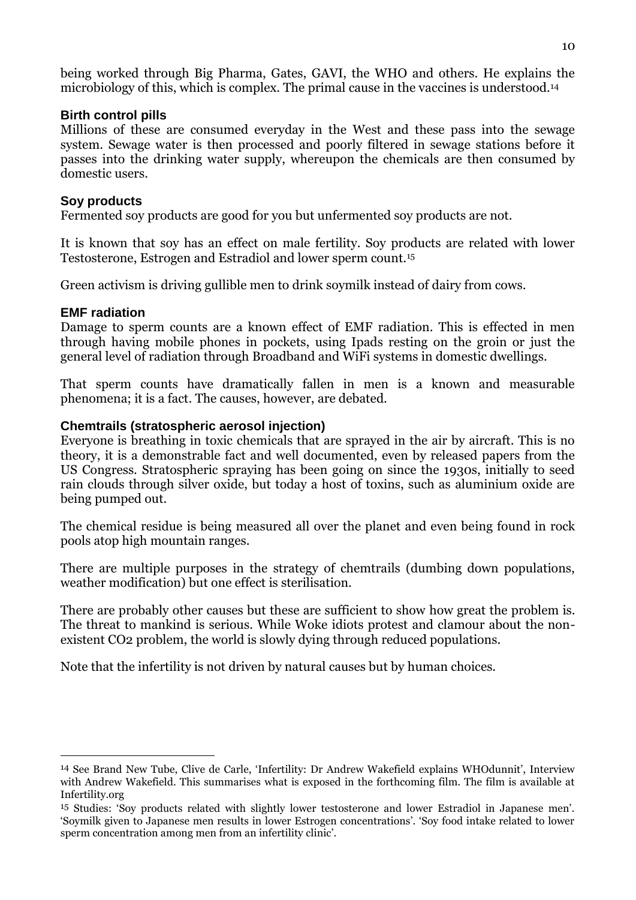being worked through Big Pharma, Gates, GAVI, the WHO and others. He explains the microbiology of this, which is complex. The primal cause in the vaccines is understood.<sup>14</sup>

### **Birth control pills**

Millions of these are consumed everyday in the West and these pass into the sewage system. Sewage water is then processed and poorly filtered in sewage stations before it passes into the drinking water supply, whereupon the chemicals are then consumed by domestic users.

### **Soy products**

Fermented soy products are good for you but unfermented soy products are not.

It is known that soy has an effect on male fertility. Soy products are related with lower Testosterone, Estrogen and Estradiol and lower sperm count.<sup>15</sup>

Green activism is driving gullible men to drink soymilk instead of dairy from cows.

### **EMF radiation**

<u>.</u>

Damage to sperm counts are a known effect of EMF radiation. This is effected in men through having mobile phones in pockets, using Ipads resting on the groin or just the general level of radiation through Broadband and WiFi systems in domestic dwellings.

That sperm counts have dramatically fallen in men is a known and measurable phenomena; it is a fact. The causes, however, are debated.

### **Chemtrails (stratospheric aerosol injection)**

Everyone is breathing in toxic chemicals that are sprayed in the air by aircraft. This is no theory, it is a demonstrable fact and well documented, even by released papers from the US Congress. Stratospheric spraying has been going on since the 1930s, initially to seed rain clouds through silver oxide, but today a host of toxins, such as aluminium oxide are being pumped out.

The chemical residue is being measured all over the planet and even being found in rock pools atop high mountain ranges.

There are multiple purposes in the strategy of chemtrails (dumbing down populations, weather modification) but one effect is sterilisation.

There are probably other causes but these are sufficient to show how great the problem is. The threat to mankind is serious. While Woke idiots protest and clamour about the nonexistent CO2 problem, the world is slowly dying through reduced populations.

Note that the infertility is not driven by natural causes but by human choices.

<sup>14</sup> See Brand New Tube, Clive de Carle, 'Infertility: Dr Andrew Wakefield explains WHOdunnit', Interview with Andrew Wakefield. This summarises what is exposed in the forthcoming film. The film is available at Infertility.org

<sup>15</sup> Studies: 'Soy products related with slightly lower testosterone and lower Estradiol in Japanese men'. 'Soymilk given to Japanese men results in lower Estrogen concentrations'. 'Soy food intake related to lower sperm concentration among men from an infertility clinic'.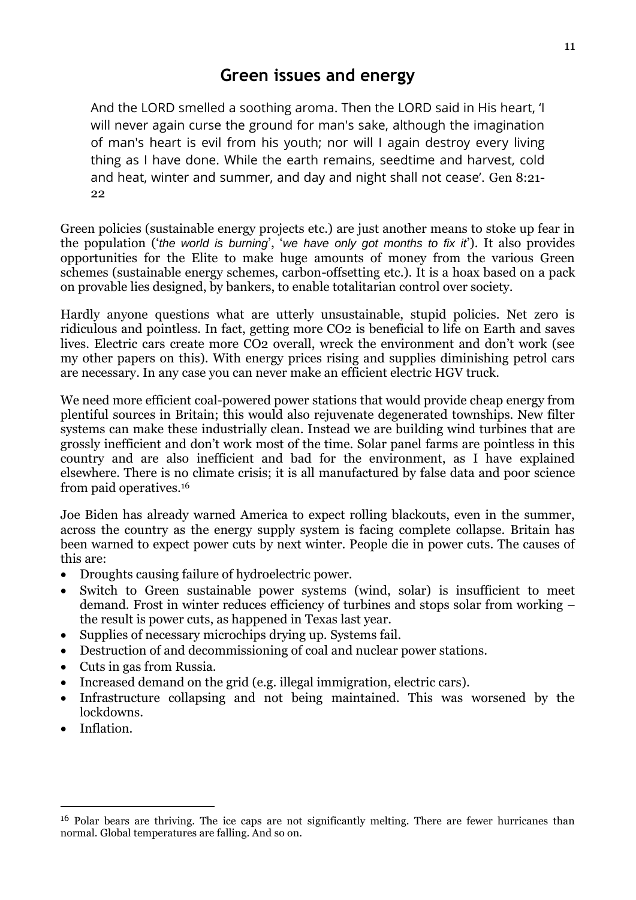### **Green issues and energy**

And the LORD smelled a soothing aroma. Then the LORD said in His heart, 'I will never again curse the ground for man's sake, although the imagination of man's heart is evil from his youth; nor will I again destroy every living thing as I have done. While the earth remains, seedtime and harvest, cold and heat, winter and summer, and day and night shall not cease'. Gen 8:21- 22

Green policies (sustainable energy projects etc.) are just another means to stoke up fear in the population ('*the world is burning*', '*we have only got months to fix it*'). It also provides opportunities for the Elite to make huge amounts of money from the various Green schemes (sustainable energy schemes, carbon-offsetting etc.). It is a hoax based on a pack on provable lies designed, by bankers, to enable totalitarian control over society.

Hardly anyone questions what are utterly unsustainable, stupid policies. Net zero is ridiculous and pointless. In fact, getting more CO2 is beneficial to life on Earth and saves lives. Electric cars create more CO2 overall, wreck the environment and don't work (see my other papers on this). With energy prices rising and supplies diminishing petrol cars are necessary. In any case you can never make an efficient electric HGV truck.

We need more efficient coal-powered power stations that would provide cheap energy from plentiful sources in Britain; this would also rejuvenate degenerated townships. New filter systems can make these industrially clean. Instead we are building wind turbines that are grossly inefficient and don't work most of the time. Solar panel farms are pointless in this country and are also inefficient and bad for the environment, as I have explained elsewhere. There is no climate crisis; it is all manufactured by false data and poor science from paid operatives.<sup>16</sup>

Joe Biden has already warned America to expect rolling blackouts, even in the summer, across the country as the energy supply system is facing complete collapse. Britain has been warned to expect power cuts by next winter. People die in power cuts. The causes of this are:

- Droughts causing failure of hydroelectric power.
- Switch to Green sustainable power systems (wind, solar) is insufficient to meet demand. Frost in winter reduces efficiency of turbines and stops solar from working – the result is power cuts, as happened in Texas last year.
- Supplies of necessary microchips drying up. Systems fail.
- Destruction of and decommissioning of coal and nuclear power stations.
- Cuts in gas from Russia.
- Increased demand on the grid (e.g. illegal immigration, electric cars).
- Infrastructure collapsing and not being maintained. This was worsened by the lockdowns.
- Inflation.

-

<sup>&</sup>lt;sup>16</sup> Polar bears are thriving. The ice caps are not significantly melting. There are fewer hurricanes than normal. Global temperatures are falling. And so on.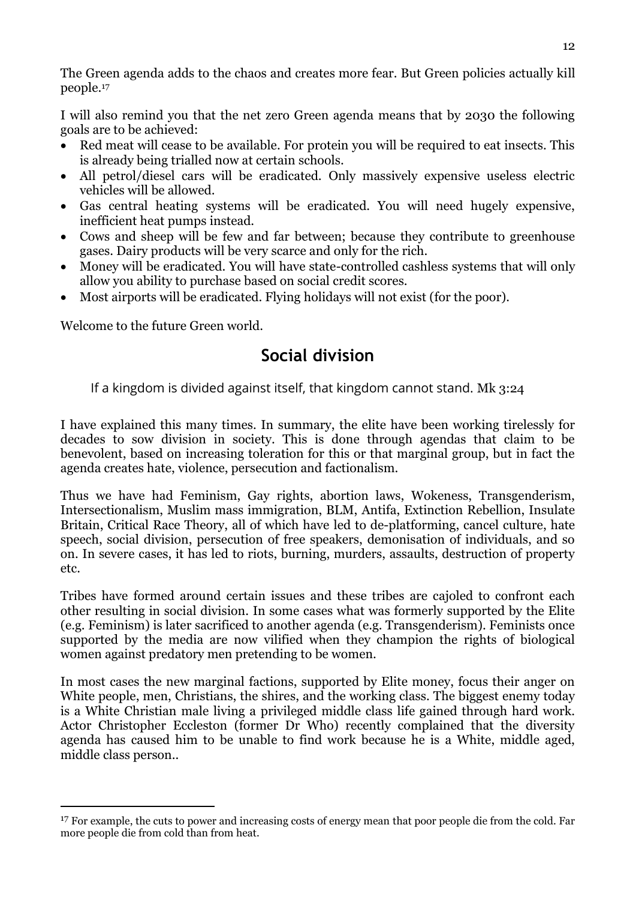The Green agenda adds to the chaos and creates more fear. But Green policies actually kill people.<sup>17</sup>

I will also remind you that the net zero Green agenda means that by 2030 the following goals are to be achieved:

- Red meat will cease to be available. For protein you will be required to eat insects. This is already being trialled now at certain schools.
- All petrol/diesel cars will be eradicated. Only massively expensive useless electric vehicles will be allowed.
- Gas central heating systems will be eradicated. You will need hugely expensive, inefficient heat pumps instead.
- Cows and sheep will be few and far between; because they contribute to greenhouse gases. Dairy products will be very scarce and only for the rich.
- Money will be eradicated. You will have state-controlled cashless systems that will only allow you ability to purchase based on social credit scores.
- Most airports will be eradicated. Flying holidays will not exist (for the poor).

Welcome to the future Green world.

-

### **Social division**

If a kingdom is divided against itself, that kingdom cannot stand. Mk 3:24

I have explained this many times. In summary, the elite have been working tirelessly for decades to sow division in society. This is done through agendas that claim to be benevolent, based on increasing toleration for this or that marginal group, but in fact the agenda creates hate, violence, persecution and factionalism.

Thus we have had Feminism, Gay rights, abortion laws, Wokeness, Transgenderism, Intersectionalism, Muslim mass immigration, BLM, Antifa, Extinction Rebellion, Insulate Britain, Critical Race Theory, all of which have led to de-platforming, cancel culture, hate speech, social division, persecution of free speakers, demonisation of individuals, and so on. In severe cases, it has led to riots, burning, murders, assaults, destruction of property etc.

Tribes have formed around certain issues and these tribes are cajoled to confront each other resulting in social division. In some cases what was formerly supported by the Elite (e.g. Feminism) is later sacrificed to another agenda (e.g. Transgenderism). Feminists once supported by the media are now vilified when they champion the rights of biological women against predatory men pretending to be women.

In most cases the new marginal factions, supported by Elite money, focus their anger on White people, men, Christians, the shires, and the working class. The biggest enemy today is a White Christian male living a privileged middle class life gained through hard work. Actor Christopher Eccleston (former Dr Who) recently complained that the diversity agenda has caused him to be unable to find work because he is a White, middle aged, middle class person..

<sup>&</sup>lt;sup>17</sup> For example, the cuts to power and increasing costs of energy mean that poor people die from the cold. Far more people die from cold than from heat.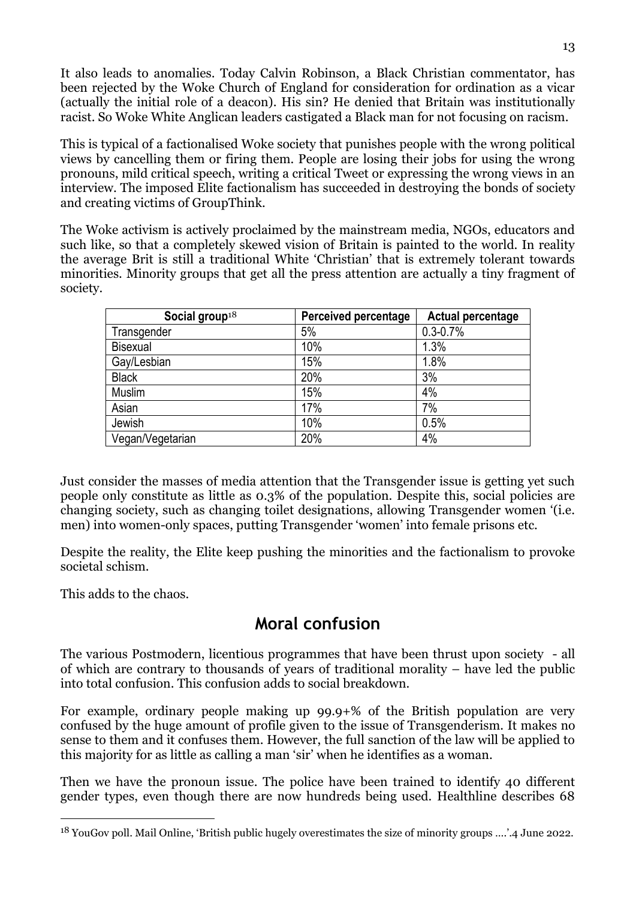It also leads to anomalies. Today Calvin Robinson, a Black Christian commentator, has been rejected by the Woke Church of England for consideration for ordination as a vicar (actually the initial role of a deacon). His sin? He denied that Britain was institutionally racist. So Woke White Anglican leaders castigated a Black man for not focusing on racism.

This is typical of a factionalised Woke society that punishes people with the wrong political views by cancelling them or firing them. People are losing their jobs for using the wrong pronouns, mild critical speech, writing a critical Tweet or expressing the wrong views in an interview. The imposed Elite factionalism has succeeded in destroying the bonds of society and creating victims of GroupThink.

The Woke activism is actively proclaimed by the mainstream media, NGOs, educators and such like, so that a completely skewed vision of Britain is painted to the world. In reality the average Brit is still a traditional White 'Christian' that is extremely tolerant towards minorities. Minority groups that get all the press attention are actually a tiny fragment of society.

| Social group $18$ | <b>Perceived percentage</b> | <b>Actual percentage</b> |
|-------------------|-----------------------------|--------------------------|
| Transgender       | 5%                          | $0.3 - 0.7%$             |
| <b>Bisexual</b>   | 10%                         | 1.3%                     |
| Gay/Lesbian       | 15%                         | 1.8%                     |
| <b>Black</b>      | 20%                         | 3%                       |
| Muslim            | 15%                         | 4%                       |
| Asian             | 17%                         | 7%                       |
| Jewish            | 10%                         | 0.5%                     |
| Vegan/Vegetarian  | 20%                         | 4%                       |

Just consider the masses of media attention that the Transgender issue is getting yet such people only constitute as little as 0.3% of the population. Despite this, social policies are changing society, such as changing toilet designations, allowing Transgender women '(i.e. men) into women-only spaces, putting Transgender 'women' into female prisons etc.

Despite the reality, the Elite keep pushing the minorities and the factionalism to provoke societal schism.

This adds to the chaos.

<u>.</u>

### **Moral confusion**

The various Postmodern, licentious programmes that have been thrust upon society - all of which are contrary to thousands of years of traditional morality – have led the public into total confusion. This confusion adds to social breakdown.

For example, ordinary people making up 99.9+% of the British population are very confused by the huge amount of profile given to the issue of Transgenderism. It makes no sense to them and it confuses them. However, the full sanction of the law will be applied to this majority for as little as calling a man 'sir' when he identifies as a woman.

Then we have the pronoun issue. The police have been trained to identify 40 different gender types, even though there are now hundreds being used. Healthline describes 68

<sup>18</sup> YouGov poll. Mail Online, 'British public hugely overestimates the size of minority groups ….'.4 June 2022.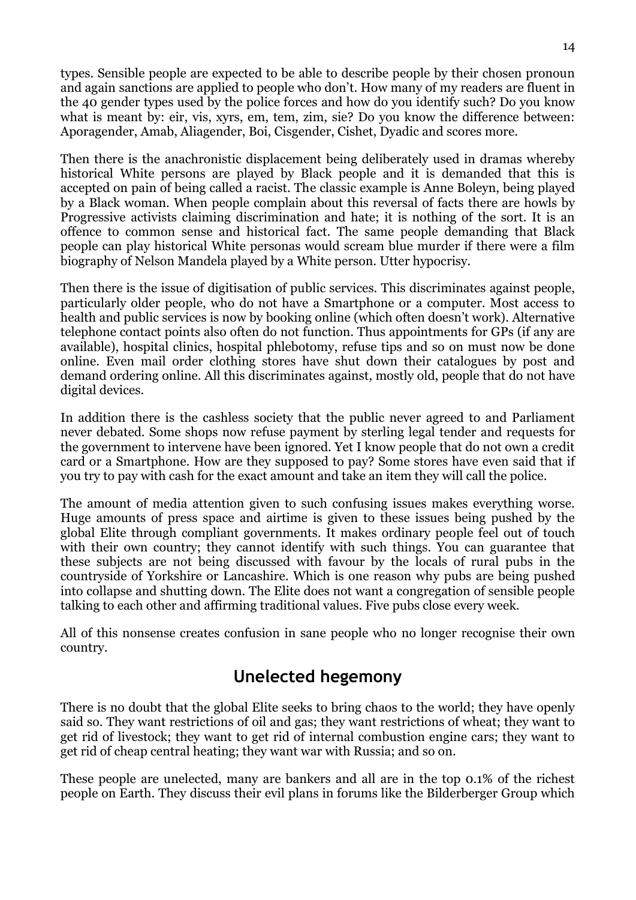types. Sensible people are expected to be able to describe people by their chosen pronoun and again sanctions are applied to people who don't. How many of my readers are fluent in the 40 gender types used by the police forces and how do you identify such? Do you know what is meant by: eir, vis, xyrs, em, tem, zim, sie? Do you know the difference between: Aporagender, Amab, Aliagender, Boi, Cisgender, Cishet, Dyadic and scores more.

Then there is the anachronistic displacement being deliberately used in dramas whereby historical White persons are played by Black people and it is demanded that this is accepted on pain of being called a racist. The classic example is Anne Boleyn, being played by a Black woman. When people complain about this reversal of facts there are howls by Progressive activists claiming discrimination and hate; it is nothing of the sort. It is an offence to common sense and historical fact. The same people demanding that Black people can play historical White personas would scream blue murder if there were a film biography of Nelson Mandela played by a White person. Utter hypocrisy.

Then there is the issue of digitisation of public services. This discriminates against people, particularly older people, who do not have a Smartphone or a computer. Most access to health and public services is now by booking online (which often doesn't work). Alternative telephone contact points also often do not function. Thus appointments for GPs (if any are available), hospital clinics, hospital phlebotomy, refuse tips and so on must now be done online. Even mail order clothing stores have shut down their catalogues by post and demand ordering online. All this discriminates against, mostly old, people that do not have digital devices.

In addition there is the cashless society that the public never agreed to and Parliament never debated. Some shops now refuse payment by sterling legal tender and requests for the government to intervene have been ignored. Yet I know people that do not own a credit card or a Smartphone. How are they supposed to pay? Some stores have even said that if you try to pay with cash for the exact amount and take an item they will call the police.

The amount of media attention given to such confusing issues makes everything worse. Huge amounts of press space and airtime is given to these issues being pushed by the global Elite through compliant governments. It makes ordinary people feel out of touch with their own country; they cannot identify with such things. You can guarantee that these subjects are not being discussed with favour by the locals of rural pubs in the countryside of Yorkshire or Lancashire. Which is one reason why pubs are being pushed into collapse and shutting down. The Elite does not want a congregation of sensible people talking to each other and affirming traditional values. Five pubs close every week.

All of this nonsense creates confusion in sane people who no longer recognise their own country.

### **Unelected hegemony**

There is no doubt that the global Elite seeks to bring chaos to the world; they have openly said so. They want restrictions of oil and gas; they want restrictions of wheat; they want to get rid of livestock; they want to get rid of internal combustion engine cars; they want to get rid of cheap central heating; they want war with Russia; and so on.

These people are unelected, many are bankers and all are in the top 0.1% of the richest people on Earth. They discuss their evil plans in forums like the Bilderberger Group which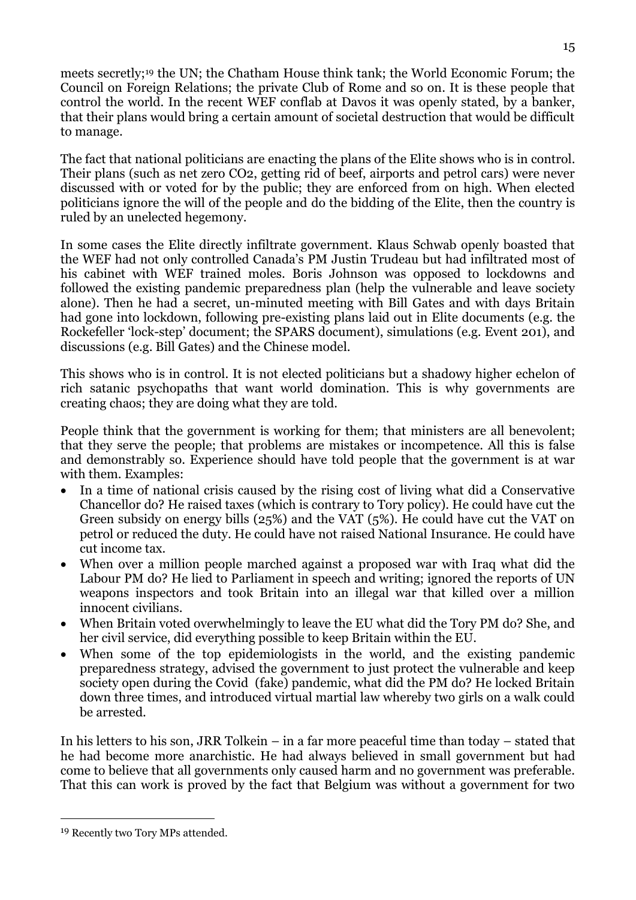meets secretly;<sup>19</sup> the UN; the Chatham House think tank; the World Economic Forum; the Council on Foreign Relations; the private Club of Rome and so on. It is these people that control the world. In the recent WEF conflab at Davos it was openly stated, by a banker, that their plans would bring a certain amount of societal destruction that would be difficult to manage.

The fact that national politicians are enacting the plans of the Elite shows who is in control. Their plans (such as net zero CO2, getting rid of beef, airports and petrol cars) were never discussed with or voted for by the public; they are enforced from on high. When elected politicians ignore the will of the people and do the bidding of the Elite, then the country is ruled by an unelected hegemony.

In some cases the Elite directly infiltrate government. Klaus Schwab openly boasted that the WEF had not only controlled Canada's PM Justin Trudeau but had infiltrated most of his cabinet with WEF trained moles. Boris Johnson was opposed to lockdowns and followed the existing pandemic preparedness plan (help the vulnerable and leave society alone). Then he had a secret, un-minuted meeting with Bill Gates and with days Britain had gone into lockdown, following pre-existing plans laid out in Elite documents (e.g. the Rockefeller 'lock-step' document; the SPARS document), simulations (e.g. Event 201), and discussions (e.g. Bill Gates) and the Chinese model.

This shows who is in control. It is not elected politicians but a shadowy higher echelon of rich satanic psychopaths that want world domination. This is why governments are creating chaos; they are doing what they are told.

People think that the government is working for them; that ministers are all benevolent; that they serve the people; that problems are mistakes or incompetence. All this is false and demonstrably so. Experience should have told people that the government is at war with them. Examples:

- In a time of national crisis caused by the rising cost of living what did a Conservative Chancellor do? He raised taxes (which is contrary to Tory policy). He could have cut the Green subsidy on energy bills (25%) and the VAT (5%). He could have cut the VAT on petrol or reduced the duty. He could have not raised National Insurance. He could have cut income tax.
- When over a million people marched against a proposed war with Iraq what did the Labour PM do? He lied to Parliament in speech and writing; ignored the reports of UN weapons inspectors and took Britain into an illegal war that killed over a million innocent civilians.
- When Britain voted overwhelmingly to leave the EU what did the Tory PM do? She, and her civil service, did everything possible to keep Britain within the EU.
- When some of the top epidemiologists in the world, and the existing pandemic preparedness strategy, advised the government to just protect the vulnerable and keep society open during the Covid (fake) pandemic, what did the PM do? He locked Britain down three times, and introduced virtual martial law whereby two girls on a walk could be arrested.

In his letters to his son, JRR Tolkein – in a far more peaceful time than today – stated that he had become more anarchistic. He had always believed in small government but had come to believe that all governments only caused harm and no government was preferable. That this can work is proved by the fact that Belgium was without a government for two

<sup>19</sup> Recently two Tory MPs attended.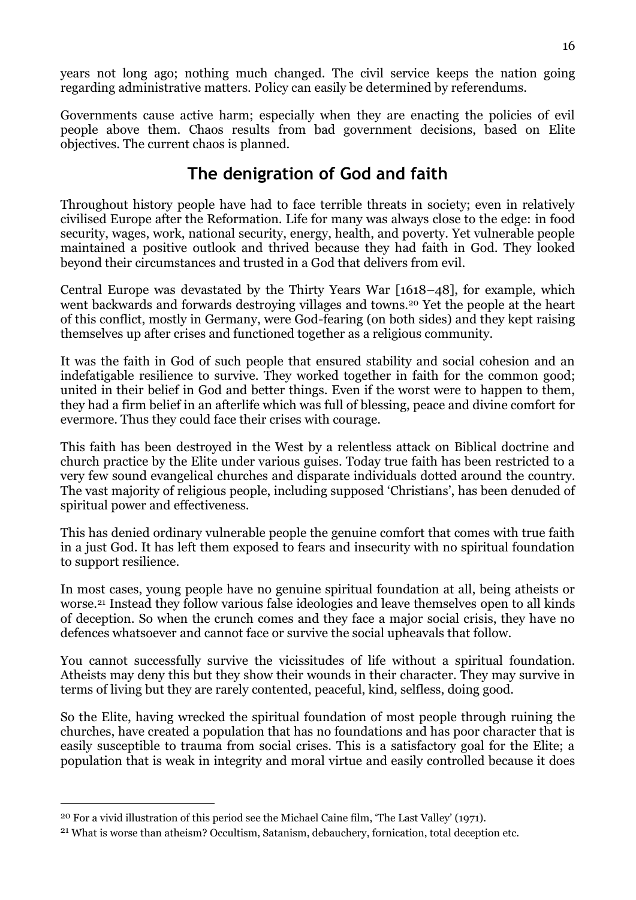years not long ago; nothing much changed. The civil service keeps the nation going regarding administrative matters. Policy can easily be determined by referendums.

Governments cause active harm; especially when they are enacting the policies of evil people above them. Chaos results from bad government decisions, based on Elite objectives. The current chaos is planned.

### **The denigration of God and faith**

Throughout history people have had to face terrible threats in society; even in relatively civilised Europe after the Reformation. Life for many was always close to the edge: in food security, wages, work, national security, energy, health, and poverty. Yet vulnerable people maintained a positive outlook and thrived because they had faith in God. They looked beyond their circumstances and trusted in a God that delivers from evil.

Central Europe was devastated by the Thirty Years War [1618–48], for example, which went backwards and forwards destroying villages and towns.<sup>20</sup> Yet the people at the heart of this conflict, mostly in Germany, were God-fearing (on both sides) and they kept raising themselves up after crises and functioned together as a religious community.

It was the faith in God of such people that ensured stability and social cohesion and an indefatigable resilience to survive. They worked together in faith for the common good; united in their belief in God and better things. Even if the worst were to happen to them, they had a firm belief in an afterlife which was full of blessing, peace and divine comfort for evermore. Thus they could face their crises with courage.

This faith has been destroyed in the West by a relentless attack on Biblical doctrine and church practice by the Elite under various guises. Today true faith has been restricted to a very few sound evangelical churches and disparate individuals dotted around the country. The vast majority of religious people, including supposed 'Christians', has been denuded of spiritual power and effectiveness.

This has denied ordinary vulnerable people the genuine comfort that comes with true faith in a just God. It has left them exposed to fears and insecurity with no spiritual foundation to support resilience.

In most cases, young people have no genuine spiritual foundation at all, being atheists or worse.<sup>21</sup> Instead they follow various false ideologies and leave themselves open to all kinds of deception. So when the crunch comes and they face a major social crisis, they have no defences whatsoever and cannot face or survive the social upheavals that follow.

You cannot successfully survive the vicissitudes of life without a spiritual foundation. Atheists may deny this but they show their wounds in their character. They may survive in terms of living but they are rarely contented, peaceful, kind, selfless, doing good.

So the Elite, having wrecked the spiritual foundation of most people through ruining the churches, have created a population that has no foundations and has poor character that is easily susceptible to trauma from social crises. This is a satisfactory goal for the Elite; a population that is weak in integrity and moral virtue and easily controlled because it does

<sup>20</sup> For a vivid illustration of this period see the Michael Caine film, 'The Last Valley' (1971).

<sup>21</sup> What is worse than atheism? Occultism, Satanism, debauchery, fornication, total deception etc.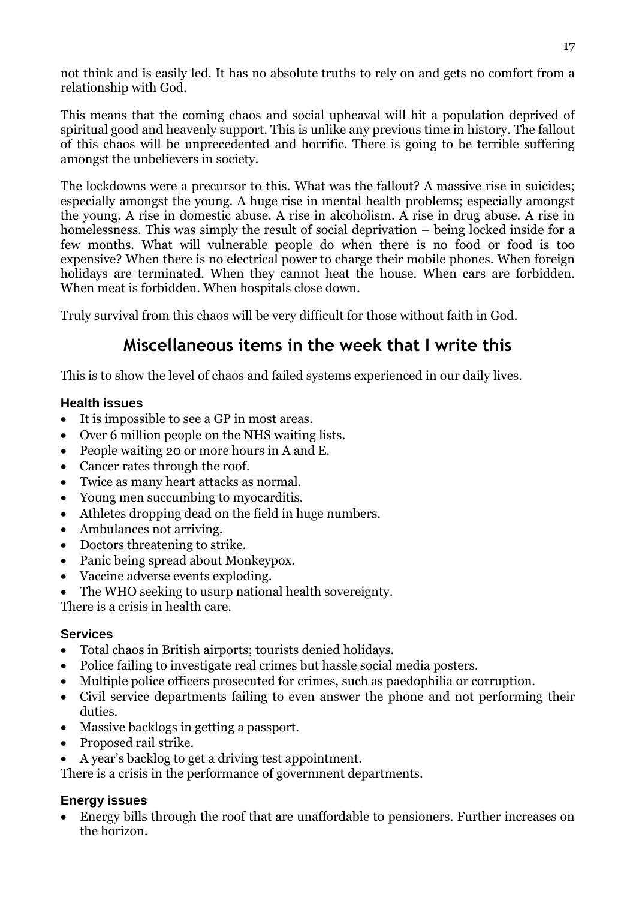not think and is easily led. It has no absolute truths to rely on and gets no comfort from a relationship with God.

This means that the coming chaos and social upheaval will hit a population deprived of spiritual good and heavenly support. This is unlike any previous time in history. The fallout of this chaos will be unprecedented and horrific. There is going to be terrible suffering amongst the unbelievers in society.

The lockdowns were a precursor to this. What was the fallout? A massive rise in suicides; especially amongst the young. A huge rise in mental health problems; especially amongst the young. A rise in domestic abuse. A rise in alcoholism. A rise in drug abuse. A rise in homelessness. This was simply the result of social deprivation  $-$  being locked inside for a few months. What will vulnerable people do when there is no food or food is too expensive? When there is no electrical power to charge their mobile phones. When foreign holidays are terminated. When they cannot heat the house. When cars are forbidden. When meat is forbidden. When hospitals close down.

Truly survival from this chaos will be very difficult for those without faith in God.

### **Miscellaneous items in the week that I write this**

This is to show the level of chaos and failed systems experienced in our daily lives.

### **Health issues**

- It is impossible to see a GP in most areas.
- Over 6 million people on the NHS waiting lists.
- People waiting 20 or more hours in A and E.
- Cancer rates through the roof.
- Twice as many heart attacks as normal.
- Young men succumbing to myocarditis.
- Athletes dropping dead on the field in huge numbers.
- Ambulances not arriving.
- Doctors threatening to strike.
- Panic being spread about Monkeypox.
- Vaccine adverse events exploding.
- The WHO seeking to usurp national health sovereignty.

There is a crisis in health care.

### **Services**

- Total chaos in British airports; tourists denied holidays.
- Police failing to investigate real crimes but hassle social media posters.
- Multiple police officers prosecuted for crimes, such as paedophilia or corruption.
- Civil service departments failing to even answer the phone and not performing their duties.
- Massive backlogs in getting a passport.
- Proposed rail strike.
- A year's backlog to get a driving test appointment.

There is a crisis in the performance of government departments.

### **Energy issues**

 Energy bills through the roof that are unaffordable to pensioners. Further increases on the horizon.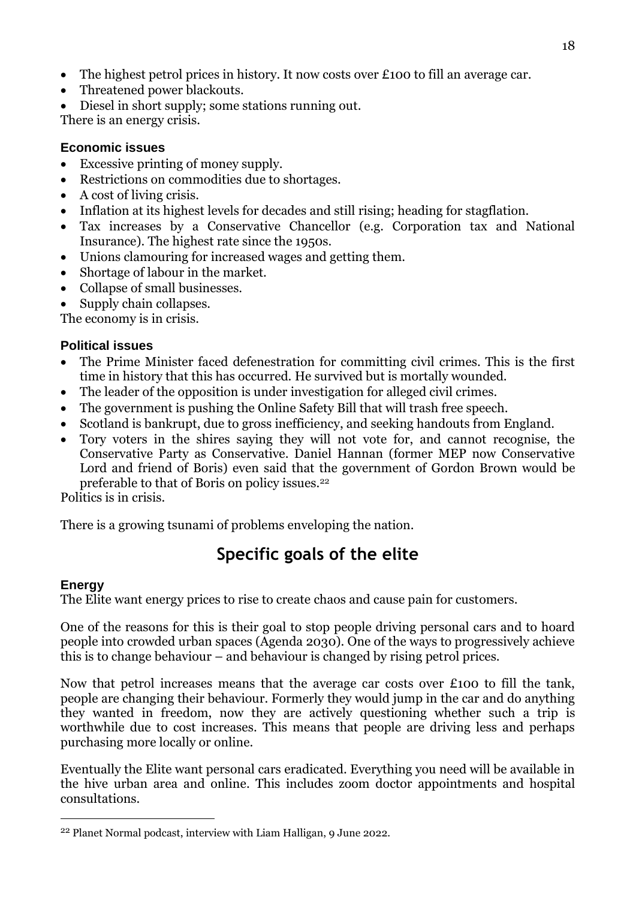- The highest petrol prices in history. It now costs over £100 to fill an average car.
- Threatened power blackouts.
- Diesel in short supply; some stations running out.

There is an energy crisis.

### **Economic issues**

- Excessive printing of money supply.
- Restrictions on commodities due to shortages.
- A cost of living crisis.
- Inflation at its highest levels for decades and still rising; heading for stagflation.
- Tax increases by a Conservative Chancellor (e.g. Corporation tax and National Insurance). The highest rate since the 1950s.
- Unions clamouring for increased wages and getting them.
- Shortage of labour in the market.
- Collapse of small businesses.
- Supply chain collapses.

The economy is in crisis.

### **Political issues**

- The Prime Minister faced defenestration for committing civil crimes. This is the first time in history that this has occurred. He survived but is mortally wounded.
- The leader of the opposition is under investigation for alleged civil crimes.
- The government is pushing the Online Safety Bill that will trash free speech.
- Scotland is bankrupt, due to gross inefficiency, and seeking handouts from England.
- Tory voters in the shires saying they will not vote for, and cannot recognise, the Conservative Party as Conservative. Daniel Hannan (former MEP now Conservative Lord and friend of Boris) even said that the government of Gordon Brown would be preferable to that of Boris on policy issues.<sup>22</sup>

Politics is in crisis.

There is a growing tsunami of problems enveloping the nation.

## **Specific goals of the elite**

### **Energy**

<u>.</u>

The Elite want energy prices to rise to create chaos and cause pain for customers.

One of the reasons for this is their goal to stop people driving personal cars and to hoard people into crowded urban spaces (Agenda 2030). One of the ways to progressively achieve this is to change behaviour – and behaviour is changed by rising petrol prices.

Now that petrol increases means that the average car costs over £100 to fill the tank, people are changing their behaviour. Formerly they would jump in the car and do anything they wanted in freedom, now they are actively questioning whether such a trip is worthwhile due to cost increases. This means that people are driving less and perhaps purchasing more locally or online.

Eventually the Elite want personal cars eradicated. Everything you need will be available in the hive urban area and online. This includes zoom doctor appointments and hospital consultations.

<sup>22</sup> Planet Normal podcast, interview with Liam Halligan, 9 June 2022.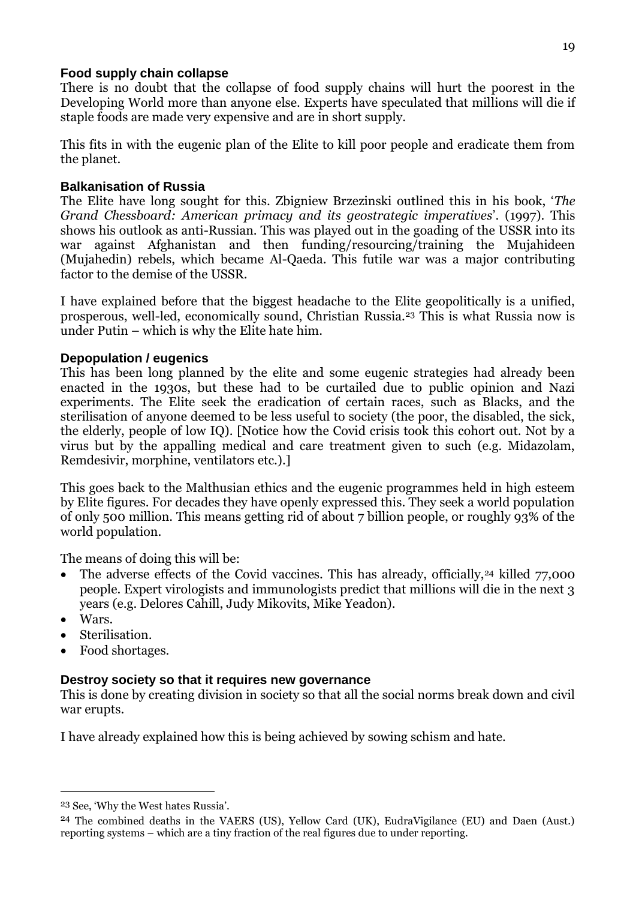#### **Food supply chain collapse**

There is no doubt that the collapse of food supply chains will hurt the poorest in the Developing World more than anyone else. Experts have speculated that millions will die if staple foods are made very expensive and are in short supply.

This fits in with the eugenic plan of the Elite to kill poor people and eradicate them from the planet.

### **Balkanisation of Russia**

The Elite have long sought for this. Zbigniew Brzezinski outlined this in his book, '*The Grand Chessboard: American primacy and its geostrategic imperatives*'. (1997). This shows his outlook as anti-Russian. This was played out in the goading of the USSR into its war against Afghanistan and then funding/resourcing/training the Mujahideen (Mujahedin) rebels, which became Al-Qaeda. This futile war was a major contributing factor to the demise of the USSR.

I have explained before that the biggest headache to the Elite geopolitically is a unified, prosperous, well-led, economically sound, Christian Russia.<sup>23</sup> This is what Russia now is under Putin – which is why the Elite hate him.

#### **Depopulation / eugenics**

This has been long planned by the elite and some eugenic strategies had already been enacted in the 1930s, but these had to be curtailed due to public opinion and Nazi experiments. The Elite seek the eradication of certain races, such as Blacks, and the sterilisation of anyone deemed to be less useful to society (the poor, the disabled, the sick, the elderly, people of low IQ). [Notice how the Covid crisis took this cohort out. Not by a virus but by the appalling medical and care treatment given to such (e.g. Midazolam, Remdesivir, morphine, ventilators etc.).]

This goes back to the Malthusian ethics and the eugenic programmes held in high esteem by Elite figures. For decades they have openly expressed this. They seek a world population of only 500 million. This means getting rid of about 7 billion people, or roughly 93% of the world population.

The means of doing this will be:

- The adverse effects of the Covid vaccines. This has already, officially,<sup>24</sup> killed 77,000 people. Expert virologists and immunologists predict that millions will die in the next 3 years (e.g. Delores Cahill, Judy Mikovits, Mike Yeadon).
- Wars.

<u>.</u>

- Sterilisation.
- Food shortages.

### **Destroy society so that it requires new governance**

This is done by creating division in society so that all the social norms break down and civil war erupts.

I have already explained how this is being achieved by sowing schism and hate.

<sup>23</sup> See, 'Why the West hates Russia'.

<sup>24</sup> The combined deaths in the VAERS (US), Yellow Card (UK), EudraVigilance (EU) and Daen (Aust.) reporting systems – which are a tiny fraction of the real figures due to under reporting.